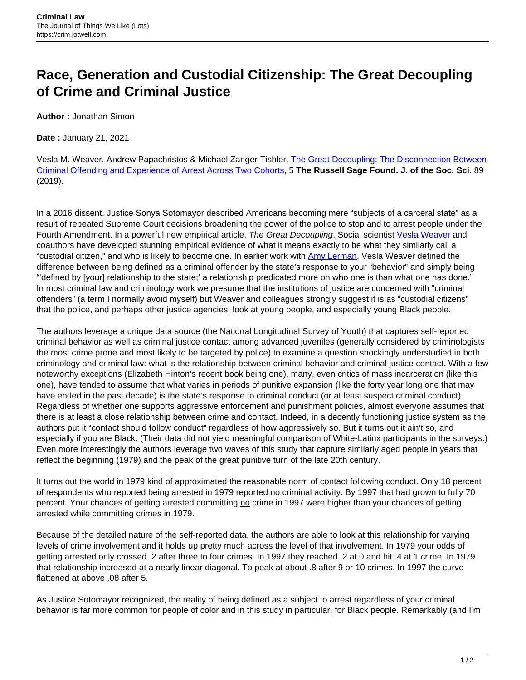## **Race, Generation and Custodial Citizenship: The Great Decoupling of Crime and Criminal Justice**

**Author :** Jonathan Simon

**Date :** January 21, 2021

Vesla M. Weaver, Andrew Papachristos & Michael Zanger-Tishler, [The Great Decoupling: The Disconnection Between](https://www.rsfjournal.org/content/5/1/89) [Criminal Offending and Experience of Arrest Across Two Cohorts,](https://www.rsfjournal.org/content/5/1/89) 5 **The Russell Sage Found. J. of the Soc. Sci.** 89 (2019).

In a 2016 dissent, Justice Sonya Sotomayor described Americans becoming mere "subjects of a carceral state" as a result of repeated Supreme Court decisions broadening the power of the police to stop and to arrest people under the Fourth Amendment. In a powerful new empirical article, The Great Decoupling, Social scientist [Vesla Weaver](https://politicalscience.jhu.edu/directory/vesla-weaver/) and coauthors have developed stunning empirical evidence of what it means exactly to be what they similarly call a "custodial citizen," and who is likely to become one. In earlier work with [Amy Lerman](https://polisci.berkeley.edu/people/person/amy-lerman), Vesla Weaver defined the difference between being defined as a criminal offender by the state's response to your "behavior" and simply being "'defined by [your] relationship to the state;' a relationship predicated more on who one is than what one has done." In most criminal law and criminology work we presume that the institutions of justice are concerned with "criminal offenders" (a term I normally avoid myself) but Weaver and colleagues strongly suggest it is as "custodial citizens" that the police, and perhaps other justice agencies, look at young people, and especially young Black people.

The authors leverage a unique data source (the National Longitudinal Survey of Youth) that captures self-reported criminal behavior as well as criminal justice contact among advanced juveniles (generally considered by criminologists the most crime prone and most likely to be targeted by police) to examine a question shockingly understudied in both criminology and criminal law: what is the relationship between criminal behavior and criminal justice contact. With a few noteworthy exceptions (Elizabeth Hinton's recent book being one), many, even critics of mass incarceration (like this one), have tended to assume that what varies in periods of punitive expansion (like the forty year long one that may have ended in the past decade) is the state's response to criminal conduct (or at least suspect criminal conduct). Regardless of whether one supports aggressive enforcement and punishment policies, almost everyone assumes that there is at least a close relationship between crime and contact. Indeed, in a decently functioning justice system as the authors put it "contact should follow conduct" regardless of how aggressively so. But it turns out it ain't so, and especially if you are Black. (Their data did not yield meaningful comparison of White-Latinx participants in the surveys.) Even more interestingly the authors leverage two waves of this study that capture similarly aged people in years that reflect the beginning (1979) and the peak of the great punitive turn of the late 20th century.

It turns out the world in 1979 kind of approximated the reasonable norm of contact following conduct. Only 18 percent of respondents who reported being arrested in 1979 reported no criminal activity. By 1997 that had grown to fully 70 percent. Your chances of getting arrested committing no crime in 1997 were higher than your chances of getting arrested while committing crimes in 1979.

Because of the detailed nature of the self-reported data, the authors are able to look at this relationship for varying levels of crime involvement and it holds up pretty much across the level of that involvement. In 1979 your odds of getting arrested only crossed .2 after three to four crimes. In 1997 they reached .2 at 0 and hit .4 at 1 crime. In 1979 that relationship increased at a nearly linear diagonal. To peak at about .8 after 9 or 10 crimes. In 1997 the curve flattened at above .08 after 5.

As Justice Sotomayor recognized, the reality of being defined as a subject to arrest regardless of your criminal behavior is far more common for people of color and in this study in particular, for Black people. Remarkably (and I'm